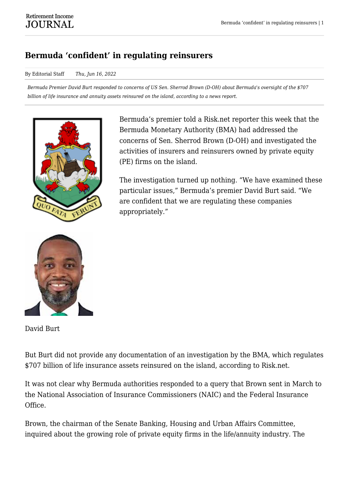## **Bermuda 'confident' in regulating reinsurers**

## By Editorial Staff *Thu, Jun 16, 2022*

*Bermuda Premier David Burt responded to concerns of US Sen. Sherrod Brown (D-OH) about Bermuda's oversight of the \$707 billion of life insurance and annuity assets reinsured on the island, according to a news report.*



Bermuda's premier told a Risk.net reporter this week that the Bermuda Monetary Authority (BMA) had addressed the concerns of Sen. Sherrod Brown (D-OH) and investigated the activities of insurers and reinsurers owned by private equity (PE) firms on the island.

The investigation turned up nothing. "We have examined these particular issues," Bermuda's premier David Burt said. "We are confident that we are regulating these companies appropriately."



David Burt

But Burt did not provide any documentation of an investigation by the BMA, which regulates \$707 billion of life insurance assets reinsured on the island, according to Risk.net.

It was not clear why Bermuda authorities responded to a query that Brown sent in March to the National Association of Insurance Commissioners (NAIC) and the Federal Insurance Office.

Brown, the chairman of the Senate Banking, Housing and Urban Affairs Committee, inquired about the growing role of private equity firms in the life/annuity industry. The